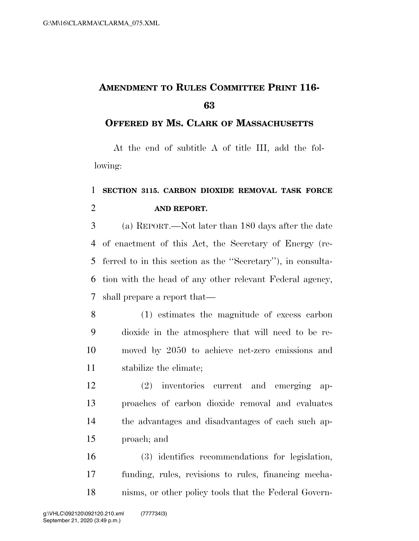## **AMENDMENT TO RULES COMMITTEE PRINT 116-**

## **OFFERED BY MS. CLARK OF MASSACHUSETTS**

At the end of subtitle A of title III, add the following:

## **SECTION 3115. CARBON DIOXIDE REMOVAL TASK FORCE AND REPORT.**

 (a) REPORT.—Not later than 180 days after the date of enactment of this Act, the Secretary of Energy (re- ferred to in this section as the ''Secretary''), in consulta- tion with the head of any other relevant Federal agency, shall prepare a report that—

- (1) estimates the magnitude of excess carbon dioxide in the atmosphere that will need to be re- moved by 2050 to achieve net-zero emissions and stabilize the climate;
- (2) inventories current and emerging ap- proaches of carbon dioxide removal and evaluates the advantages and disadvantages of each such ap-proach; and

 (3) identifies recommendations for legislation, funding, rules, revisions to rules, financing mecha-nisms, or other policy tools that the Federal Govern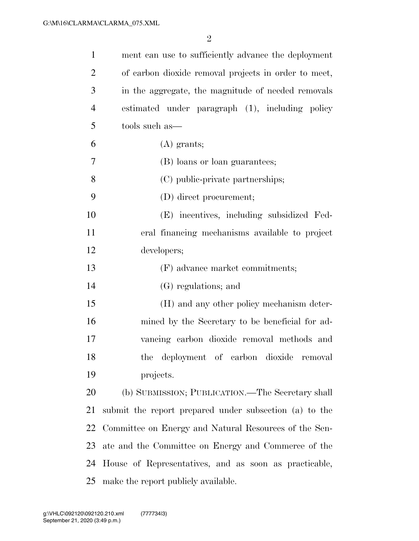| $\mathbf{1}$   | ment can use to sufficiently advance the deployment    |
|----------------|--------------------------------------------------------|
| $\overline{2}$ | of carbon dioxide removal projects in order to meet,   |
| 3              | in the aggregate, the magnitude of needed removals     |
| $\overline{4}$ | estimated under paragraph (1), including policy        |
| 5              | tools such as—                                         |
| 6              | $(A)$ grants;                                          |
| 7              | (B) loans or loan guarantees;                          |
| 8              | (C) public-private partnerships;                       |
| 9              | (D) direct procurement;                                |
| 10             | (E) incentives, including subsidized Fed-              |
| 11             | eral financing mechanisms available to project         |
| 12             | developers;                                            |
| 13             | (F) advance market commitments;                        |
| 14             | (G) regulations; and                                   |
| 15             | (H) and any other policy mechanism deter-              |
| 16             | mined by the Secretary to be beneficial for ad-        |
| 17             | vancing carbon dioxide removal methods and             |
| 18             | the deployment of carbon dioxide<br>removal            |
| 19             | projects.                                              |
| 20             | (b) SUBMISSION; PUBLICATION.—The Secretary shall       |
| 21             | submit the report prepared under subsection (a) to the |
| 22             | Committee on Energy and Natural Resources of the Sen-  |
| 23             | ate and the Committee on Energy and Commerce of the    |
| 24             | House of Representatives, and as soon as practicable,  |
|                | 25 make the report publicly available.                 |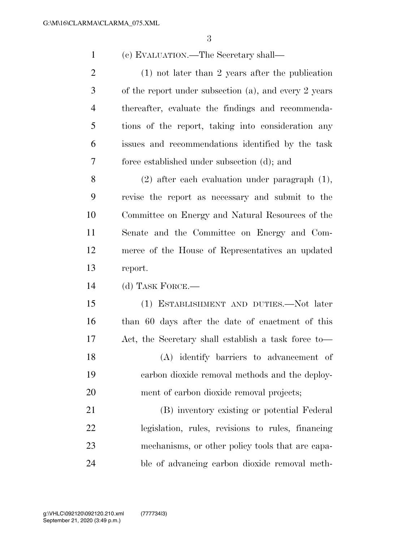(c) EVALUATION.—The Secretary shall—

 (1) not later than 2 years after the publication of the report under subsection (a), and every 2 years thereafter, evaluate the findings and recommenda- tions of the report, taking into consideration any issues and recommendations identified by the task force established under subsection (d); and

 (2) after each evaluation under paragraph (1), revise the report as necessary and submit to the Committee on Energy and Natural Resources of the Senate and the Committee on Energy and Com- merce of the House of Representatives an updated report.

(d) TASK FORCE.—

 (1) ESTABLISHMENT AND DUTIES.—Not later than 60 days after the date of enactment of this Act, the Secretary shall establish a task force to—

 (A) identify barriers to advancement of carbon dioxide removal methods and the deploy-ment of carbon dioxide removal projects;

 (B) inventory existing or potential Federal legislation, rules, revisions to rules, financing mechanisms, or other policy tools that are capa-ble of advancing carbon dioxide removal meth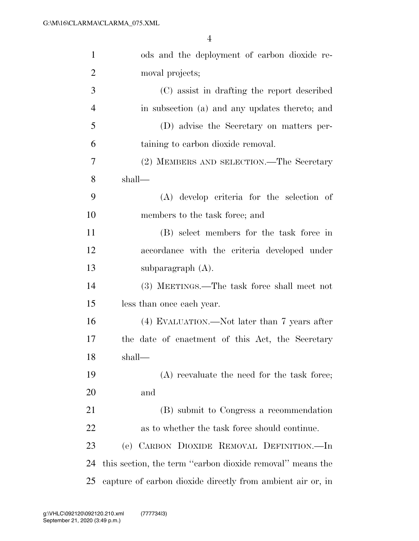| $\mathbf{1}$   | ods and the deployment of carbon dioxide re-               |
|----------------|------------------------------------------------------------|
| $\overline{2}$ | moval projects;                                            |
| 3              | (C) assist in drafting the report described                |
| $\overline{4}$ | in subsection (a) and any updates thereto; and             |
| 5              | (D) advise the Secretary on matters per-                   |
| 6              | taining to carbon dioxide removal.                         |
| 7              | (2) MEMBERS AND SELECTION.—The Secretary                   |
| 8              | shall—                                                     |
| 9              | (A) develop criteria for the selection of                  |
| 10             | members to the task force; and                             |
| 11             | (B) select members for the task force in                   |
| 12             | accordance with the criteria developed under               |
| 13             | subparagraph $(A)$ .                                       |
| 14             | (3) MEETINGS.—The task force shall meet not                |
| 15             | less than once each year.                                  |
| 16             | (4) EVALUATION.—Not later than 7 years after               |
| 17             | the date of enactment of this Act, the Secretary           |
| 18             | shall—                                                     |
| 19             | $(A)$ reevaluate the need for the task force;              |
| 20             | and                                                        |
| 21             | (B) submit to Congress a recommendation                    |
| 22             | as to whether the task force should continue.              |
| 23             | (e) CARBON DIOXIDE REMOVAL DEFINITION.—In                  |
| 24             | this section, the term "carbon dioxide removal" means the  |
| 25             | capture of carbon dioxide directly from ambient air or, in |